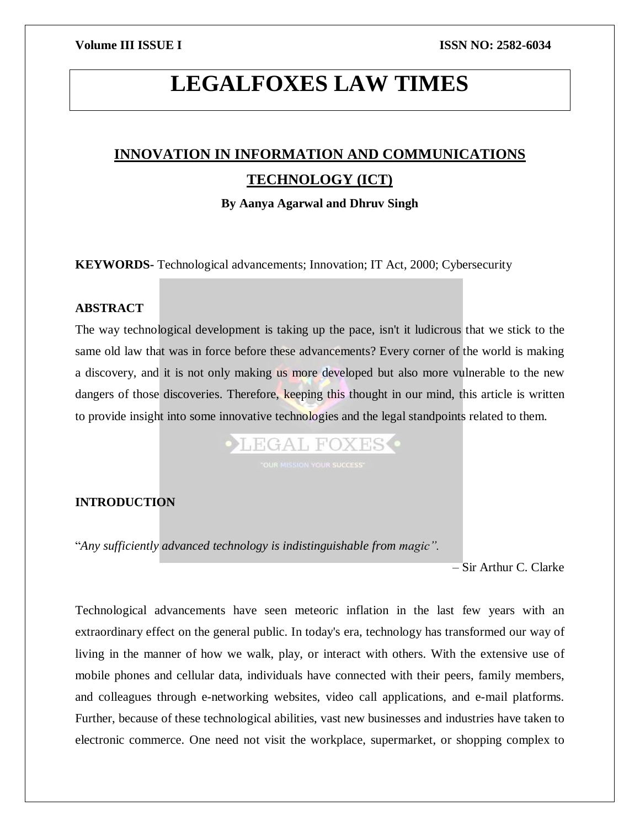# **LEGALFOXES LAW TIMES**

## **INNOVATION IN INFORMATION AND COMMUNICATIONS TECHNOLOGY (ICT)**

**By Aanya Agarwal and Dhruv Singh**

**KEYWORDS-** Technological advancements; Innovation; IT Act, 2000; Cybersecurity

### **ABSTRACT**

The way technological development is taking up the pace, isn't it ludicrous that we stick to the same old law that was in force before these advancements? Every corner of the world is making a discovery, and it is not only making us more developed but also more vulnerable to the new dangers of those discoveries. Therefore, keeping this thought in our mind, this article is written to provide insight into some innovative technologies and the legal standpoints related to them.



### **INTRODUCTION**

"*Any sufficiently advanced technology is indistinguishable from magic".*

– Sir Arthur C. Clarke

Technological advancements have seen meteoric inflation in the last few years with an extraordinary effect on the general public. In today's era, technology has transformed our way of living in the manner of how we walk, play, or interact with others. With the extensive use of mobile phones and cellular data, individuals have connected with their peers, family members, and colleagues through e-networking websites, video call applications, and e-mail platforms. Further, because of these technological abilities, vast new businesses and industries have taken to electronic commerce. One need not visit the workplace, supermarket, or shopping complex to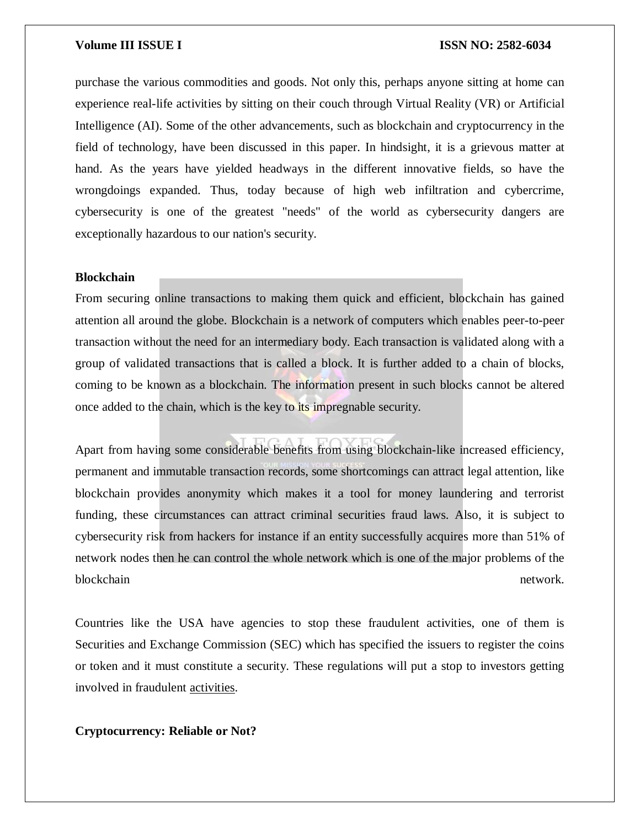purchase the various commodities and goods. Not only this, perhaps anyone sitting at home can experience real-life activities by sitting on their couch through Virtual Reality (VR) or Artificial Intelligence (AI). Some of the other advancements, such as blockchain and cryptocurrency in the field of technology, have been discussed in this paper. In hindsight, it is a grievous matter at hand. As the years have yielded headways in the different innovative fields, so have the wrongdoings expanded. Thus, today because of high web infiltration and cybercrime, cybersecurity is one of the greatest "needs" of the world as cybersecurity dangers are exceptionally hazardous to our nation's security.

### **Blockchain**

From securing online transactions to making them quick and efficient, blockchain has gained attention all around the globe. Blockchain is a network of computers which enables peer-to-peer transaction without the need for an intermediary body. Each transaction is validated along with a group of validated transactions that is called a block. It is further added to a chain of blocks, coming to be known as a blockchain. The information present in such blocks cannot be altered once added to the chain, which is the key to its impregnable security.

Apart from having some considerable benefits from using blockchain-like increased efficiency, permanent and immutable transaction records, some shortcomings can attract legal attention, like blockchain provides anonymity which makes it a tool for money laundering and terrorist funding, these circumstances can attract criminal securities fraud laws. Also, it is subject to cybersecurity risk from hackers for instance if an entity successfully acquires more than 51% of network nodes then he can control the whole network which is one of the major problems of the blockchain network.

Countries like the USA have agencies to stop these fraudulent activities, one of them is Securities and Exchange Commission (SEC) which has specified the issuers to register the coins or token and it must constitute a security. These regulations will put a stop to investors getting involved in fraudulent [activities.](https://www.sec.gov/news/press-release/2017-227)

### **Cryptocurrency: Reliable or Not?**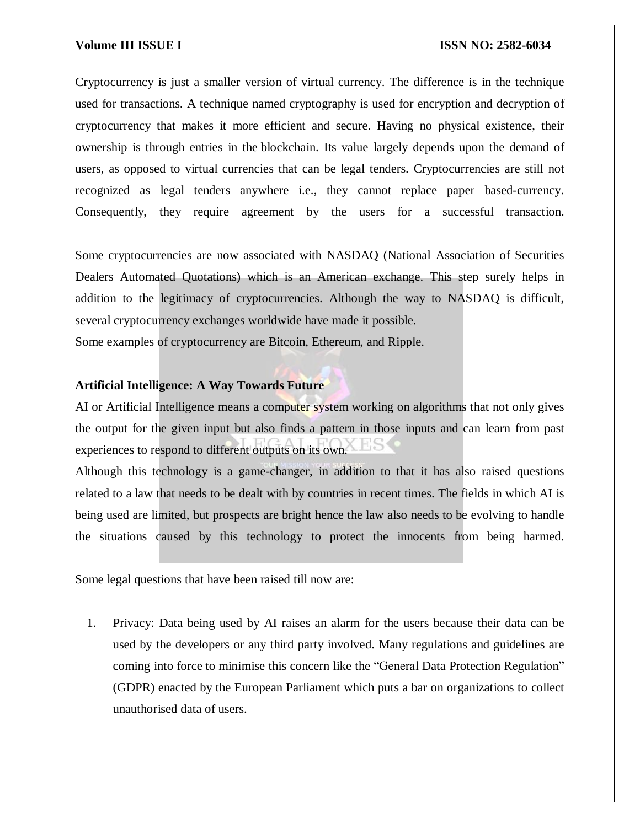Cryptocurrency is just a smaller version of virtual currency. The difference is in the technique used for transactions. A technique named cryptography is used for encryption and decryption of cryptocurrency that makes it more efficient and secure. Having no physical existence, their ownership is through entries in the [blockchain.](https://blog.ipleaders.in/cryptocurrency-legal-aspects/#:~:text=However,%2520cryptocurrencies%2520in%2520India,%2520like,banknotes,%2520coins,%2520etc.)) Its value largely depends upon the demand of users, as opposed to virtual currencies that can be legal tenders. Cryptocurrencies are still not recognized as legal tenders anywhere i.e., they cannot replace paper based-currency. Consequently, they require agreement by the users for a successful transaction.

Some cryptocurrencies are now associated with NASDAQ (National Association of Securities Dealers Automated Quotations) which is an American exchange. This step surely helps in addition to the legitimacy of cryptocurrencies. Although the way to NASDAQ is difficult, several cryptocurrency exchanges worldwide have made it [possible.](https://www.forbes.com/sites/michaeldelcastillo/2019/01/30/nasdaq-is-now-working-with-7-cryptocurrency-exchanges/#48af5e372472)

Some examples of cryptocurrency are Bitcoin, Ethereum, and Ripple.

### **Artificial Intelligence: A Way Towards Future**

AI or Artificial Intelligence means a computer system working on algorithms that not only gives the output for the given input but also finds a pattern in those inputs and can learn from past experiences to respond to different outputs on its own.

Although this technology is a game-changer, in addition to that it has also raised questions related to a law that needs to be dealt with by countries in recent times. The fields in which AI is being used are limited, but prospects are bright hence the law also needs to be evolving to handle the situations caused by this technology to protect the innocents from being harmed.

Some legal questions that have been raised till now are:

1. Privacy: Data being used by AI raises an alarm for the users because their data can be used by the developers or any third party involved. Many regulations and guidelines are coming into force to minimise this concern like the "General Data Protection Regulation" (GDPR) enacted by the European Parliament which puts a bar on organizations to collect unauthorised data of [users.](https://www.lexology.com/library/detail.aspx?g=4284727f-3bec-43e5-b230-fad2742dd4fb)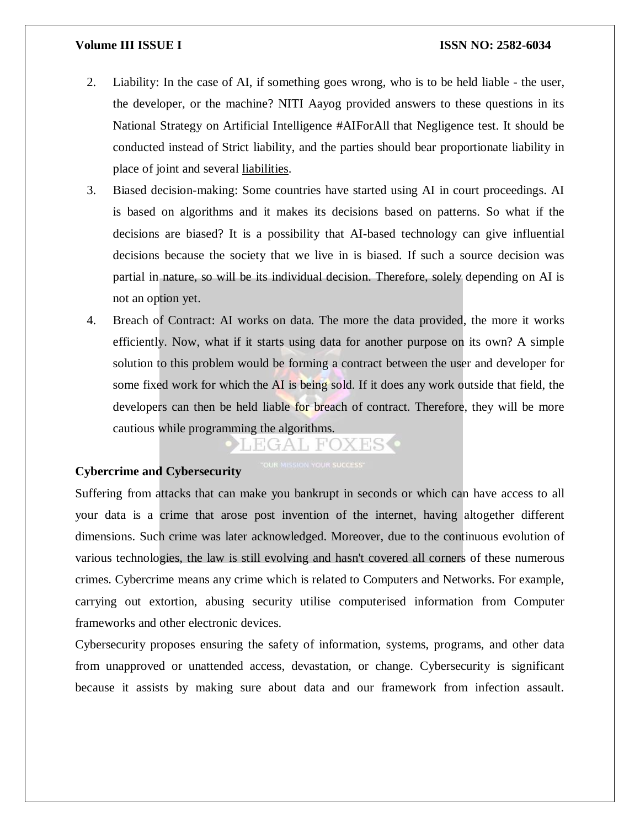- 2. Liability: In the case of AI, if something goes wrong, who is to be held liable the user, the developer, or the machine? NITI Aayog provided answers to these questions in its National Strategy on Artificial Intelligence #AIForAll that Negligence test. It should be conducted instead of Strict liability, and the parties should bear proportionate liability in place of joint and several [liabilities.](https://niti.gov.in/sites/default/files/2019-01/NationalStrategy-for-AI-Discussion-Paper.pdf)
- 3. Biased decision-making: Some countries have started using AI in court proceedings. AI is based on algorithms and it makes its decisions based on patterns. So what if the decisions are biased? It is a possibility that AI-based technology can give influential decisions because the society that we live in is biased. If such a source decision was partial in nature, so will be its individual decision. Therefore, solely depending on AI is not an option yet.
- 4. Breach of Contract: AI works on data. The more the data provided, the more it works efficiently. Now, what if it starts using data for another purpose on its own? A simple solution to this problem would be forming a contract between the user and developer for some fixed work for which the AI is being sold. If it does any work outside that field, the developers can then be held liable for breach of contract. Therefore, they will be more cautious while programming the algorithms.

5A I FOX FISC

### **Cybercrime and Cybersecurity**

Suffering from attacks that can make you bankrupt in seconds or which can have access to all your data is a crime that arose post invention of the internet, having altogether different dimensions. Such crime was later acknowledged. Moreover, due to the continuous evolution of various technologies, the law is still evolving and hasn't covered all corners of these numerous crimes. Cybercrime means any crime which is related to Computers and Networks. For example, carrying out extortion, abusing security utilise computerised information from Computer frameworks and other electronic devices.

Cybersecurity proposes ensuring the safety of information, systems, programs, and other data from unapproved or unattended access, devastation, or change. Cybersecurity is significant because it assists by making sure about data and our framework from infection assault.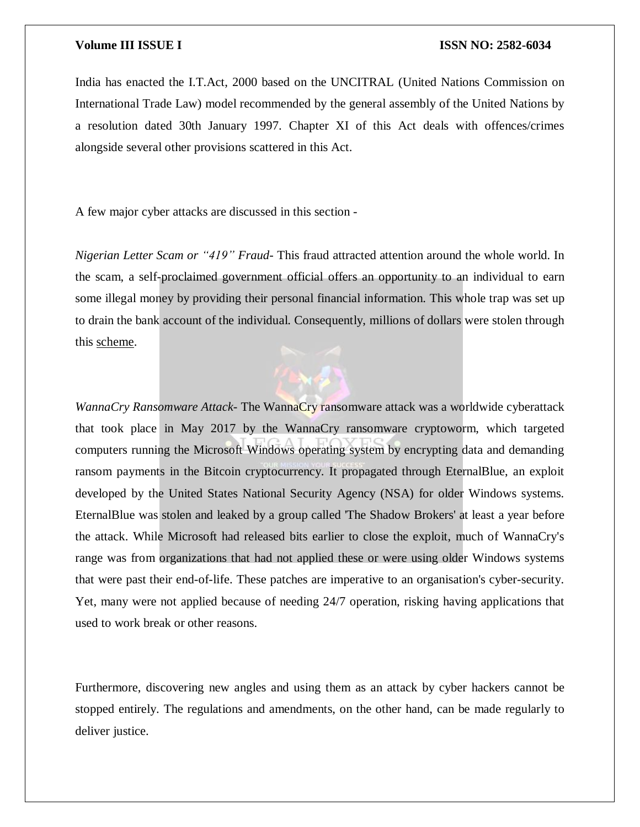India has enacted the I.T.Act, 2000 based on the UNCITRAL (United Nations Commission on International Trade Law) model recommended by the general assembly of the United Nations by a resolution dated 30th January 1997. Chapter XI of this Act deals with offences/crimes alongside several other provisions scattered in this Act.

A few major cyber attacks are discussed in this section -

*Nigerian Letter Scam or "419" Fraud-* This fraud attracted attention around the whole world. In the scam, a self-proclaimed government official offers an opportunity to an individual to earn some illegal money by providing their personal financial information. This whole trap was set up to drain the bank account of the individual. Consequently, millions of dollars were stolen through this [scheme.](https://www.fbi.gov/scams-and-safety/common-scams-and-crimes/nigerian-letter-or-419-fraud)



*WannaCry Ransomware Attack-* The WannaCry ransomware attack was a worldwide cyberattack that took place in May 2017 by the WannaCry ransomware cryptoworm, which targeted computers running the Microsoft Windows operating system by encrypting data and demanding ransom payments in the Bitcoin cryptocurrency. It propagated through EternalBlue, an exploit developed by the United States National Security Agency (NSA) for older Windows systems. EternalBlue was stolen and leaked by a group called 'The Shadow Brokers' at least a year before the attack. While Microsoft had released bits earlier to close the exploit, much of WannaCry's range was from organizations that had not applied these or were using older Windows systems that were past their end-of-life. These patches are imperative to an organisation's cyber-security. Yet, many were not applied because of needing 24/7 operation, risking having applications that used to work break or other reasons.

Furthermore, discovering new angles and using them as an attack by cyber hackers cannot be stopped entirely. The regulations and amendments, on the other hand, can be made regularly to deliver justice.